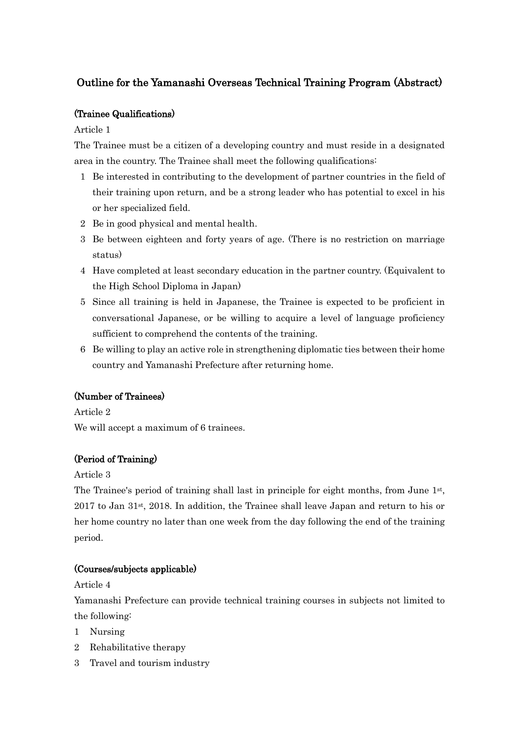# Outline for the Yamanashi Overseas Technical Training Program (Abstract)

### (Trainee Qualifications)

Article 1

The Trainee must be a citizen of a developing country and must reside in a designated area in the country. The Trainee shall meet the following qualifications:

- 1 Be interested in contributing to the development of partner countries in the field of their training upon return, and be a strong leader who has potential to excel in his or her specialized field.
- 2 Be in good physical and mental health.
- 3 Be between eighteen and forty years of age. (There is no restriction on marriage status)
- 4 Have completed at least secondary education in the partner country. (Equivalent to the High School Diploma in Japan)
- 5 Since all training is held in Japanese, the Trainee is expected to be proficient in conversational Japanese, or be willing to acquire a level of language proficiency sufficient to comprehend the contents of the training.
- 6 Be willing to play an active role in strengthening diplomatic ties between their home country and Yamanashi Prefecture after returning home.

## (Number of Trainees)

Article 2

We will accept a maximum of 6 trainees.

# (Period of Training)

Article 3

The Trainee's period of training shall last in principle for eight months, from June 1<sup>st</sup>, 2017 to Jan 31st, 2018. In addition, the Trainee shall leave Japan and return to his or her home country no later than one week from the day following the end of the training period.

## (Courses/subjects applicable)

Article 4

Yamanashi Prefecture can provide technical training courses in subjects not limited to the following:

- 1 Nursing
- 2 Rehabilitative therapy
- 3 Travel and tourism industry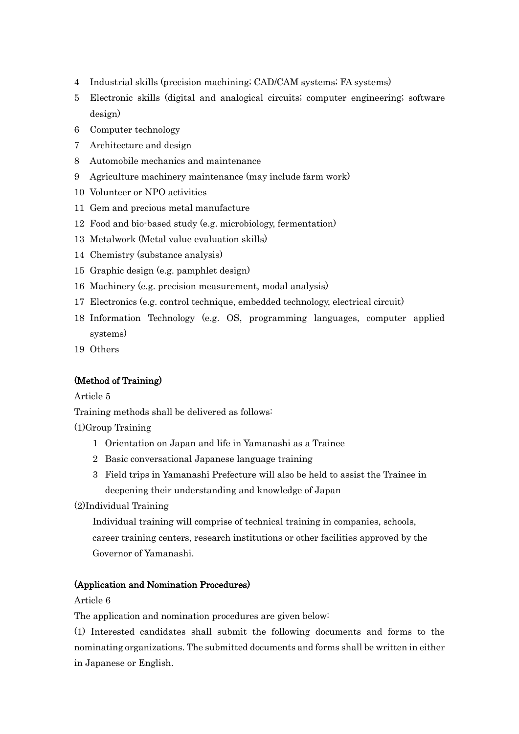- 4 Industrial skills (precision machining; CAD/CAM systems; FA systems)
- 5 Electronic skills (digital and analogical circuits; computer engineering; software design)
- 6 Computer technology
- 7 Architecture and design
- 8 Automobile mechanics and maintenance
- 9 Agriculture machinery maintenance (may include farm work)
- 10 Volunteer or NPO activities
- 11 Gem and precious metal manufacture
- 12 Food and bio-based study (e.g. microbiology, fermentation)
- 13 Metalwork (Metal value evaluation skills)
- 14 Chemistry (substance analysis)
- 15 Graphic design (e.g. pamphlet design)
- 16 Machinery (e.g. precision measurement, modal analysis)
- 17 Electronics (e.g. control technique, embedded technology, electrical circuit)
- 18 Information Technology (e.g. OS, programming languages, computer applied systems)
- 19 Others

# (Method of Training)

Article 5

Training methods shall be delivered as follows:

(1)Group Training

- 1 Orientation on Japan and life in Yamanashi as a Trainee
- 2 Basic conversational Japanese language training
- 3 Field trips in Yamanashi Prefecture will also be held to assist the Trainee in deepening their understanding and knowledge of Japan
- (2)Individual Training

Individual training will comprise of technical training in companies, schools, career training centers, research institutions or other facilities approved by the Governor of Yamanashi.

## (Application and Nomination Procedures)

Article 6

The application and nomination procedures are given below:

(1) Interested candidates shall submit the following documents and forms to the nominating organizations. The submitted documents and forms shall be written in either in Japanese or English.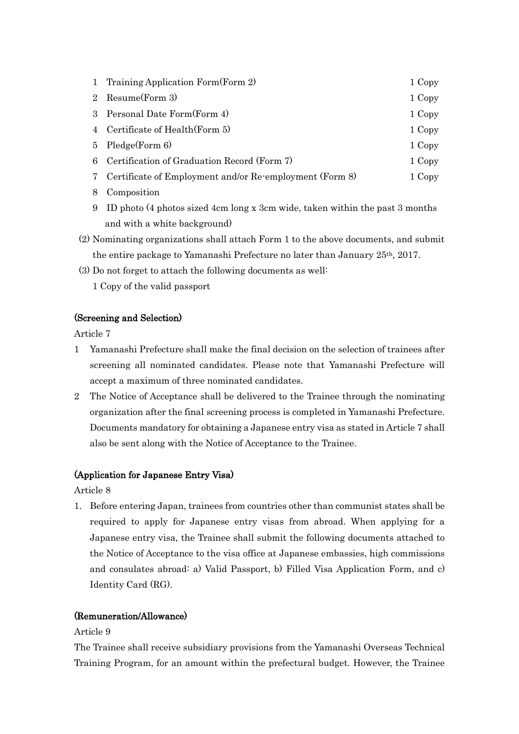|    | 1 Training Application Form (Form 2)                      | 1 Copy |
|----|-----------------------------------------------------------|--------|
|    | 2 Resume(Form 3)                                          | 1 Copy |
|    | 3 Personal Date Form (Form 4)                             | 1 Copy |
|    | 4 Certificate of Health (Form 5)                          | 1 Copy |
| 5. | Pledge(Form 6)                                            | 1 Copy |
| 6  | Certification of Graduation Record (Form 7)               | 1 Copy |
|    | 7 Certificate of Employment and/or Re-employment (Form 8) | 1 Copy |
| 8  | Composition                                               |        |

- 9 ID photo (4 photos sized 4cm long x 3cm wide, taken within the past 3 months and with a white background)
- (2) Nominating organizations shall attach Form 1 to the above documents, and submit the entire package to Yamanashi Prefecture no later than January 25th, 2017.
- (3) Do not forget to attach the following documents as well:
	- 1 Copy of the valid passport

### (Screening and Selection)

Article 7

- 1 Yamanashi Prefecture shall make the final decision on the selection of trainees after screening all nominated candidates. Please note that Yamanashi Prefecture will accept a maximum of three nominated candidates.
- 2 The Notice of Acceptance shall be delivered to the Trainee through the nominating organization after the final screening process is completed in Yamanashi Prefecture. Documents mandatory for obtaining a Japanese entry visa as stated in Article 7 shall also be sent along with the Notice of Acceptance to the Trainee.

## (Application for Japanese Entry Visa)

Article 8

1. Before entering Japan, trainees from countries other than communist states shall be required to apply for Japanese entry visas from abroad. When applying for a Japanese entry visa, the Trainee shall submit the following documents attached to the Notice of Acceptance to the visa office at Japanese embassies, high commissions and consulates abroad: a) Valid Passport, b) Filled Visa Application Form, and c) Identity Card (RG).

### (Remuneration/Allowance)

### Article 9

The Trainee shall receive subsidiary provisions from the Yamanashi Overseas Technical Training Program, for an amount within the prefectural budget. However, the Trainee